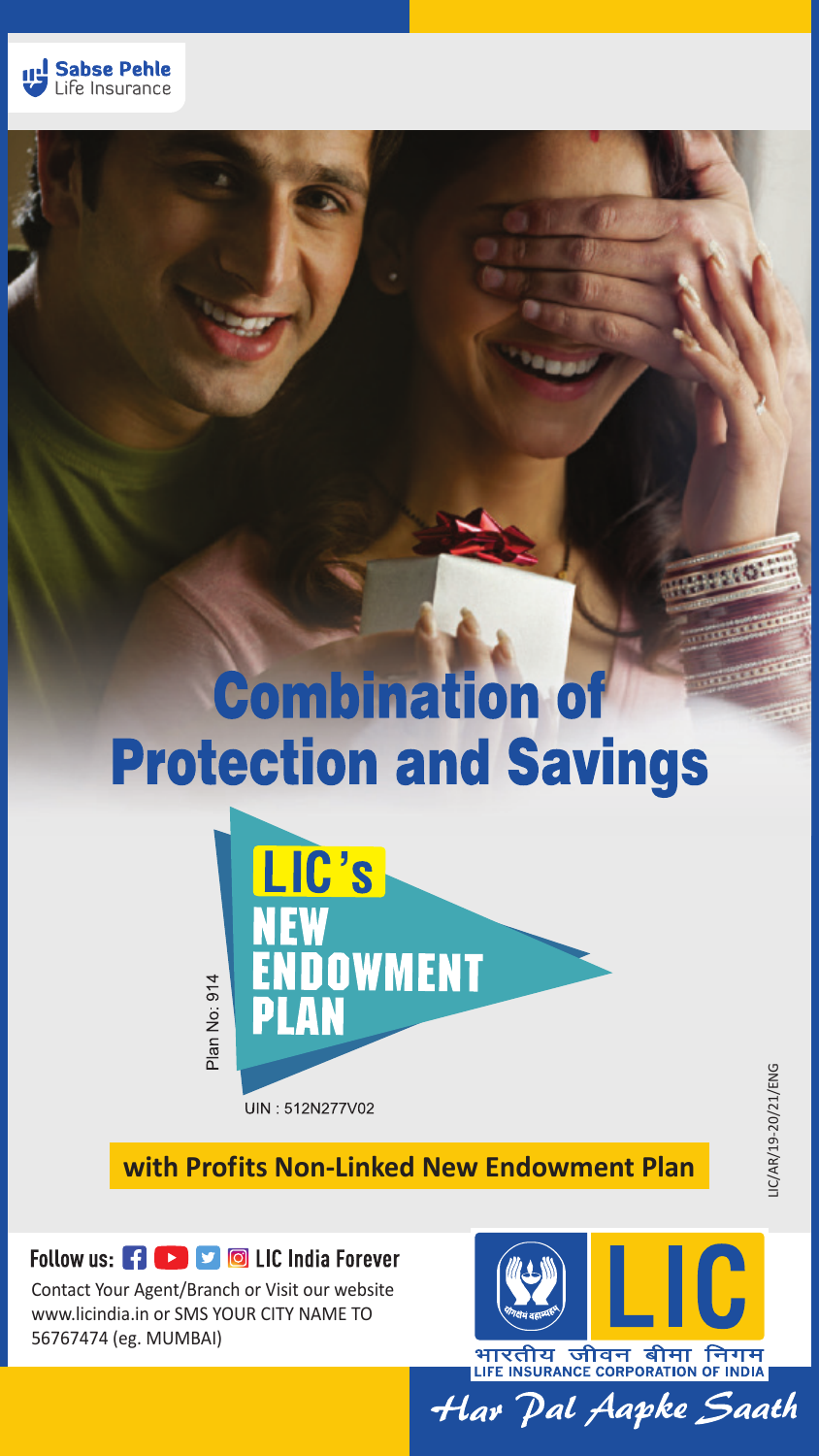

# **Combination of Protection and Savings**



IC/AR/19-20/21/ENG

LIC/AR/19-20/21/ENG

**with Profits Non-Linked New Endowment Plan**

### Follow us: FI **DE SERVICE** LIC India Forever

Contact Your Agent/Branch or Visit our website www.licindia.in or SMS YOUR CITY NAME TO 56767474 (eg. MUMBAI)



भारतीय जीवन बीमा निगम LIFE INSURANCE CORPORATION OF INDIA Har Pal Aapke Saath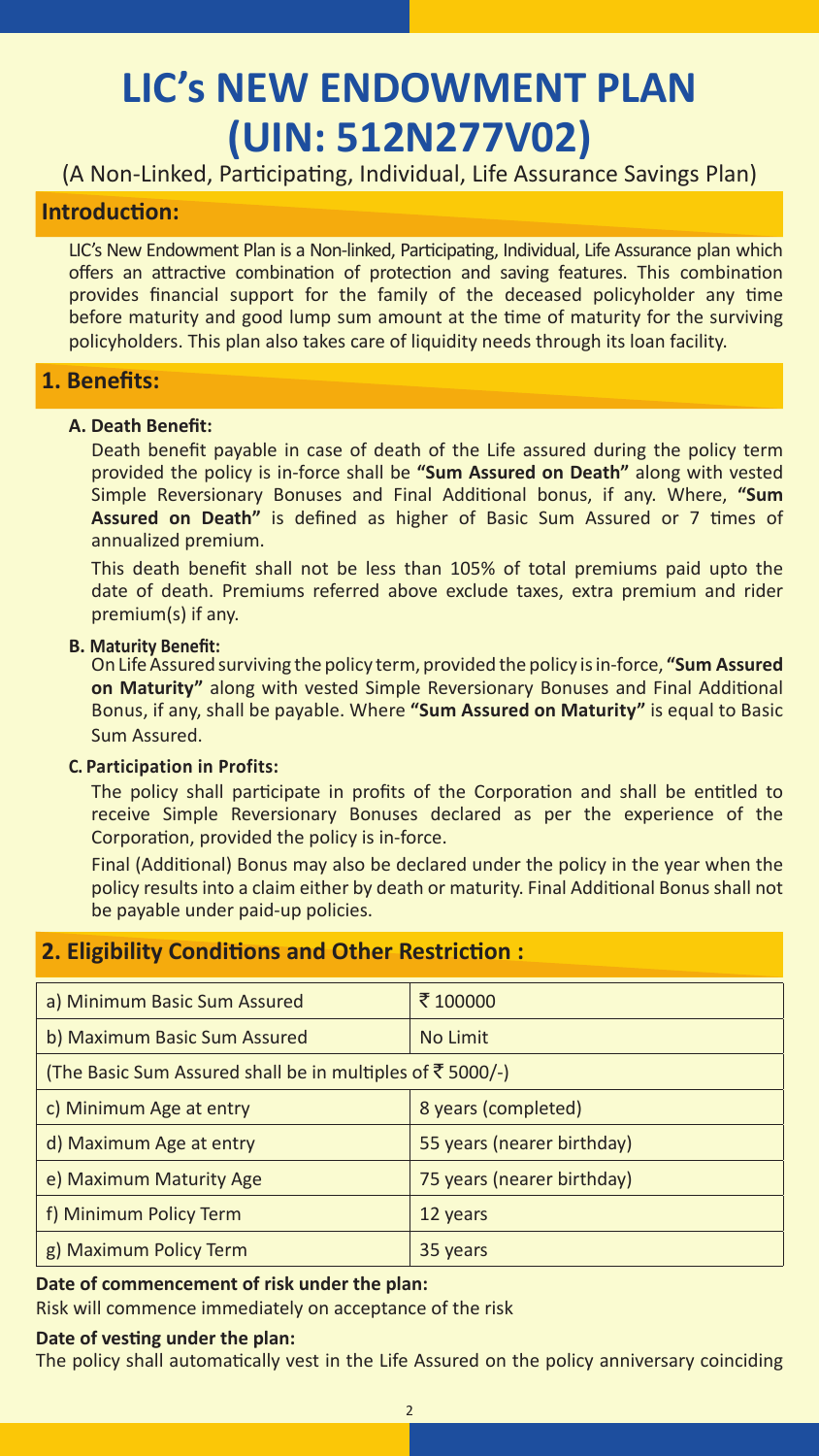## **LIC's NEW ENDOWMENT PLAN (UIN: 512N277V02)**

(A Non-Linked, Participating, Individual, Life Assurance Savings Plan)

#### **Introduction:**

LIC's New Endowment Plan is a Non-linked, Participating, Individual, Life Assurance plan which offers an attractive combination of protection and saving features. This combination provides financial support for the family of the deceased policyholder any time before maturity and good lump sum amount at the time of maturity for the surviving policyholders. This plan also takes care of liquidity needs through its loan facility.

#### **1. Benefits:**

#### **A. Death Benefit:**

 Death benefit payable in case of death of the Life assured during the policy term provided the policy is in-force shall be **"Sum Assured on Death"** along with vested Simple Reversionary Bonuses and Final Additional bonus, if any. Where, **"Sum Assured on Death"** is defined as higher of Basic Sum Assured or 7 times of annualized premium.

This death benefit shall not be less than 105% of total premiums paid upto the date of death. Premiums referred above exclude taxes, extra premium and rider premium(s) if any.

**B. Maturity Benefit:** On Life Assured surviving the policy term, provided the policy is in-force, **"Sum Assured on Maturity"** along with vested Simple Reversionary Bonuses and Final Additional Bonus, if any, shall be payable. Where **"Sum Assured on Maturity"** is equal to Basic Sum Assured.

#### **C. Participation in Profits:**

 The policy shall participate in profits of the Corporation and shall be entitled to receive Simple Reversionary Bonuses declared as per the experience of the Corporation, provided the policy is in-force.

Final (Additional) Bonus may also be declared under the policy in the year when the policy results into a claim either by death or maturity. Final Additional Bonus shall not be payable under paid-up policies.

#### **2. Eligibility Conditions and Other Restriction :**

| a) Minimum Basic Sum Assured                                      | ₹100000                    |
|-------------------------------------------------------------------|----------------------------|
| b) Maximum Basic Sum Assured                                      | No Limit                   |
| (The Basic Sum Assured shall be in multiples of $\bar{z}$ 5000/-) |                            |
| c) Minimum Age at entry                                           | 8 years (completed)        |
| d) Maximum Age at entry                                           | 55 years (nearer birthday) |
| e) Maximum Maturity Age                                           | 75 years (nearer birthday) |
| f) Minimum Policy Term                                            | 12 years                   |
| g) Maximum Policy Term                                            | 35 years                   |

#### **Date of commencement of risk under the plan:**

Risk will commence immediately on acceptance of the risk

#### **Date of vesting under the plan:**

The policy shall automatically vest in the Life Assured on the policy anniversary coinciding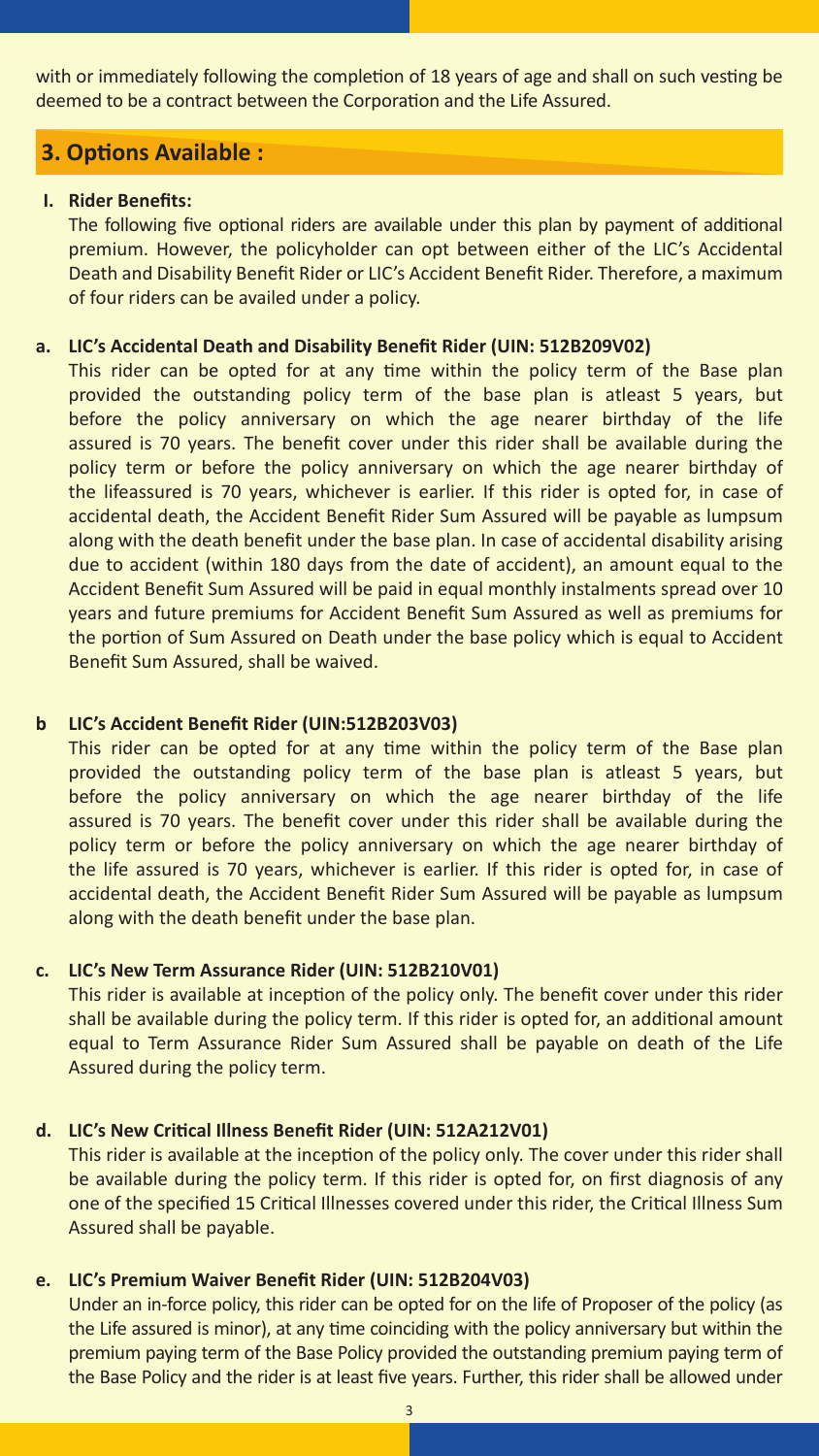with or immediately following the completion of 18 years of age and shall on such vesting be deemed to be a contract between the Corporation and the Life Assured.

#### **3. Options Available :**

#### **I. Rider Benefits:**

The following five optional riders are available under this plan by payment of additional premium. However, the policyholder can opt between either of the LIC's Accidental Death and Disability Benefit Rider or LIC's Accident Benefit Rider. Therefore, a maximum of four riders can be availed under a policy.

#### **a. LIC's Accidental Death and Disability Benefit Rider (UIN: 512B209V02)**

This rider can be opted for at any time within the policy term of the Base plan provided the outstanding policy term of the base plan is atleast 5 years, but before the policy anniversary on which the age nearer birthday of the life assured is 70 years. The benefit cover under this rider shall be available during the policy term or before the policy anniversary on which the age nearer birthday of the lifeassured is 70 years, whichever is earlier. If this rider is opted for, in case of accidental death, the Accident Benefit Rider Sum Assured will be payable as lumpsum along with the death benefit under the base plan. In case of accidental disability arising due to accident (within 180 days from the date of accident), an amount equal to the Accident Benefit Sum Assured will be paid in equal monthly instalments spread over 10 years and future premiums for Accident Benefit Sum Assured as well as premiums for the portion of Sum Assured on Death under the base policy which is equal to Accident Benefit Sum Assured, shall be waived.

#### **b LIC's Accident Benefit Rider (UIN:512B203V03)**

This rider can be opted for at any time within the policy term of the Base plan provided the outstanding policy term of the base plan is atleast 5 years, but before the policy anniversary on which the age nearer birthday of the life assured is 70 years. The benefit cover under this rider shall be available during the policy term or before the policy anniversary on which the age nearer birthday of the life assured is 70 years, whichever is earlier. If this rider is opted for, in case of accidental death, the Accident Benefit Rider Sum Assured will be payable as lumpsum along with the death benefit under the base plan.

#### **c. LIC's New Term Assurance Rider (UIN: 512B210V01)**

This rider is available at inception of the policy only. The benefit cover under this rider shall be available during the policy term. If this rider is opted for, an additional amount equal to Term Assurance Rider Sum Assured shall be payable on death of the Life Assured during the policy term.

#### **d. LIC's New Critical Illness Benefit Rider (UIN: 512A212V01)**

This rider is available at the inception of the policy only. The cover under this rider shall be available during the policy term. If this rider is opted for, on first diagnosis of any one of the specified 15 Critical Illnesses covered under this rider, the Critical Illness Sum Assured shall be payable.

#### **e. LIC's Premium Waiver Benefit Rider (UIN: 512B204V03)**

Under an in-force policy, this rider can be opted for on the life of Proposer of the policy (as the Life assured is minor), at any time coinciding with the policy anniversary but within the premium paying term of the Base Policy provided the outstanding premium paying term of the Base Policy and the rider is at least five years. Further, this rider shall be allowed under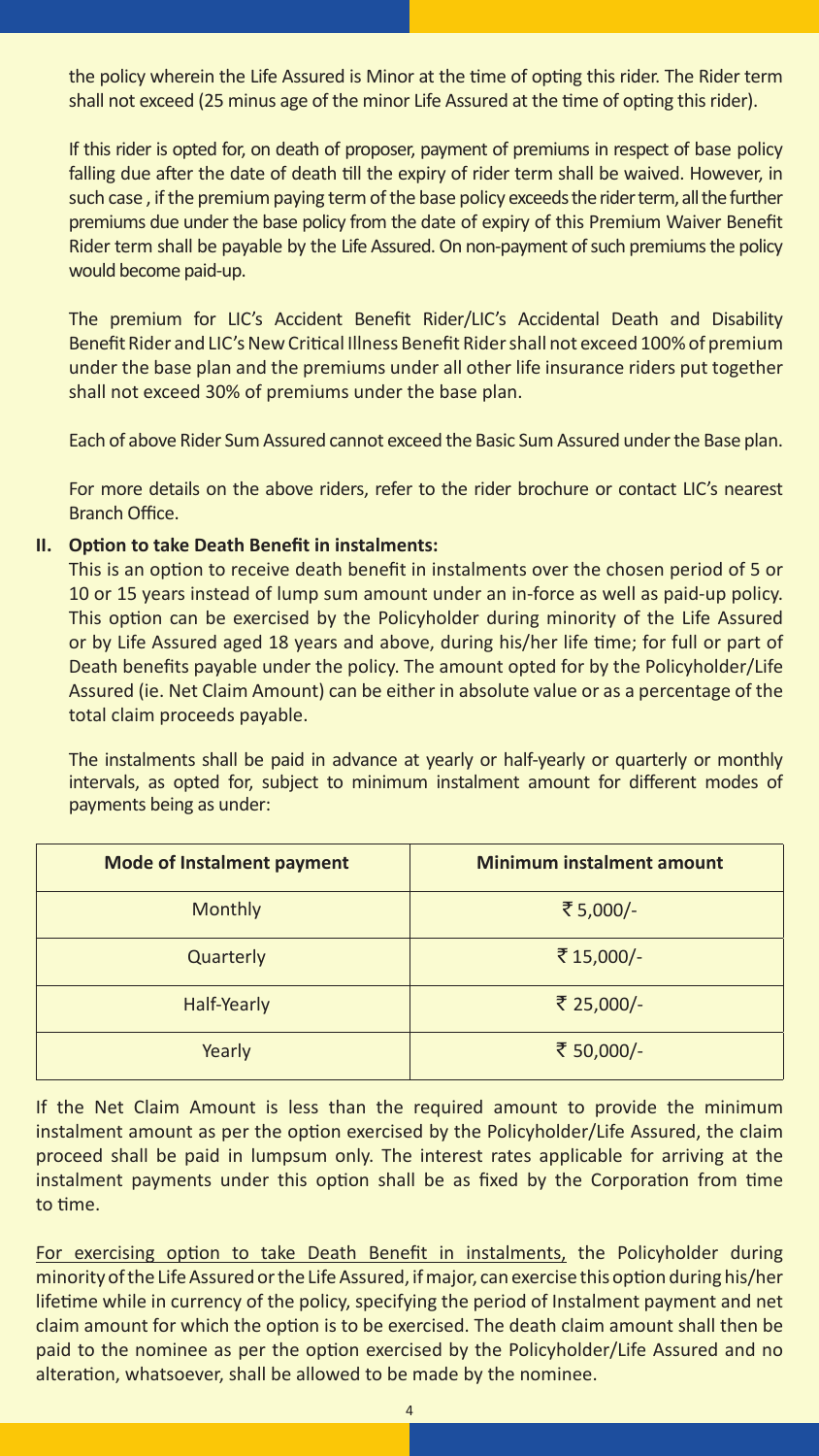the policy wherein the Life Assured is Minor at the time of opting this rider. The Rider term shall not exceed (25 minus age of the minor Life Assured at the time of opting this rider).

If this rider is opted for, on death of proposer, payment of premiums in respect of base policy falling due after the date of death till the expiry of rider term shall be waived. However, in such case , if the premium paying term of the base policy exceeds the rider term, all the further premiums due under the base policy from the date of expiry of this Premium Waiver Benefit Rider term shall be payable by the Life Assured. On non-payment of such premiums the policy would become paid-up.

The premium for LIC's Accident Benefit Rider/LIC's Accidental Death and Disability Benefit Rider and LIC's New Critical Illness Benefit Rider shall not exceed 100% of premium under the base plan and the premiums under all other life insurance riders put together shall not exceed 30% of premiums under the base plan.

Each of above Rider Sum Assured cannot exceed the Basic Sum Assured under the Base plan.

For more details on the above riders, refer to the rider brochure or contact LIC's nearest Branch Office.

#### **II. Option to take Death Benefit in instalments:**

This is an option to receive death benefit in instalments over the chosen period of 5 or 10 or 15 years instead of lump sum amount under an in-force as well as paid-up policy. This option can be exercised by the Policyholder during minority of the Life Assured or by Life Assured aged 18 years and above, during his/her life time; for full or part of Death benefits payable under the policy. The amount opted for by the Policyholder/Life Assured (ie. Net Claim Amount) can be either in absolute value or as a percentage of the total claim proceeds payable.

The instalments shall be paid in advance at yearly or half-yearly or quarterly or monthly intervals, as opted for, subject to minimum instalment amount for different modes of payments being as under:

| <b>Mode of Instalment payment</b> | <b>Minimum instalment amount</b> |
|-----------------------------------|----------------------------------|
| Monthly                           | ₹5,000/-                         |
| Quarterly                         | ₹15,000/-                        |
| Half-Yearly                       | ₹ 25,000/-                       |
| Yearly                            | ₹ 50,000/-                       |

If the Net Claim Amount is less than the required amount to provide the minimum instalment amount as per the option exercised by the Policyholder/Life Assured, the claim proceed shall be paid in lumpsum only. The interest rates applicable for arriving at the instalment payments under this option shall be as fixed by the Corporation from time to time.

For exercising option to take Death Benefit in instalments, the Policyholder during minority of the Life Assured or the Life Assured, if major, can exercise this option during his/her lifetime while in currency of the policy, specifying the period of Instalment payment and net claim amount for which the option is to be exercised. The death claim amount shall then be paid to the nominee as per the option exercised by the Policyholder/Life Assured and no alteration, whatsoever, shall be allowed to be made by the nominee.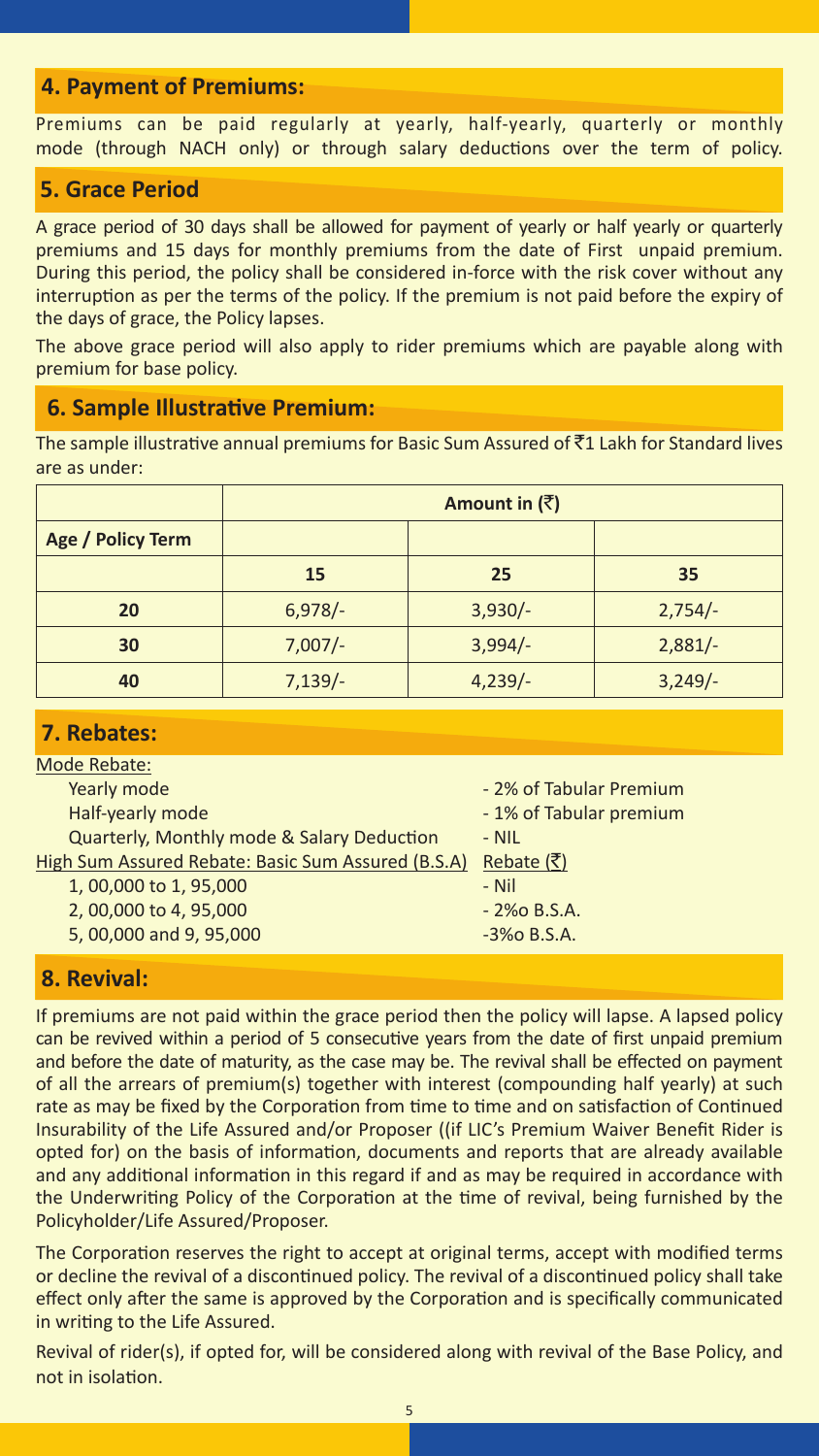#### **4. Payment of Premiums:**

Premiums can be paid regularly at yearly, half-yearly, quarterly or monthly mode (through NACH only) or through salary deductions over the term of policy.

#### **5. Grace Period**

A grace period of 30 days shall be allowed for payment of yearly or half yearly or quarterly premiums and 15 days for monthly premiums from the date of First unpaid premium. During this period, the policy shall be considered in-force with the risk cover without any interruption as per the terms of the policy. If the premium is not paid before the expiry of the days of grace, the Policy lapses.

The above grace period will also apply to rider premiums which are payable along with premium for base policy.

#### **6. Sample Illustrative Premium:**

The sample illustrative annual premiums for Basic Sum Assured of  $\bar{z}$ 1 Lakh for Standard lives are as under:

|                   |           | Amount in $(\bar{z})$ |           |
|-------------------|-----------|-----------------------|-----------|
| Age / Policy Term |           |                       |           |
|                   | 15        | 25                    | 35        |
| 20                | $6,978/-$ | $3,930/-$             | $2,754/-$ |
| 30                | $7,007/-$ | $3,994/-$             | $2,881/-$ |
| 40                | $7,139/-$ | $4,239/-$             | $3,249/-$ |

#### **7. Rebates:**

| Mode Rebate:                                       |                         |
|----------------------------------------------------|-------------------------|
| Yearly mode                                        | - 2% of Tabular Premium |
| Half-yearly mode                                   | - 1% of Tabular premium |
| Quarterly, Monthly mode & Salary Deduction         | $- NIL$                 |
| High Sum Assured Rebate: Basic Sum Assured (B.S.A) | Rebate $( ₹)$           |
| 1,00,000 to 1,95,000                               | - Nil                   |
| 2,00,000 to 4,95,000                               | $-2\%$ o B.S.A.         |
| 5,00,000 and 9,95,000                              | $-3%$ o B.S.A.          |
|                                                    |                         |

#### **8. Revival:**

If premiums are not paid within the grace period then the policy will lapse. A lapsed policy can be revived within a period of 5 consecutive years from the date of first unpaid premium and before the date of maturity, as the case may be. The revival shall be effected on payment of all the arrears of premium(s) together with interest (compounding half yearly) at such rate as may be fixed by the Corporation from time to time and on satisfaction of Continued Insurability of the Life Assured and/or Proposer ((if LIC's Premium Waiver Benefit Rider is opted for) on the basis of information, documents and reports that are already available and any additional information in this regard if and as may be required in accordance with the Underwriting Policy of the Corporation at the time of revival, being furnished by the Policyholder/Life Assured/Proposer.

The Corporation reserves the right to accept at original terms, accept with modified terms or decline the revival of a discontinued policy. The revival of a discontinued policy shall take effect only after the same is approved by the Corporation and is specifically communicated in writing to the Life Assured.

Revival of rider(s), if opted for, will be considered along with revival of the Base Policy, and not in isolation.

5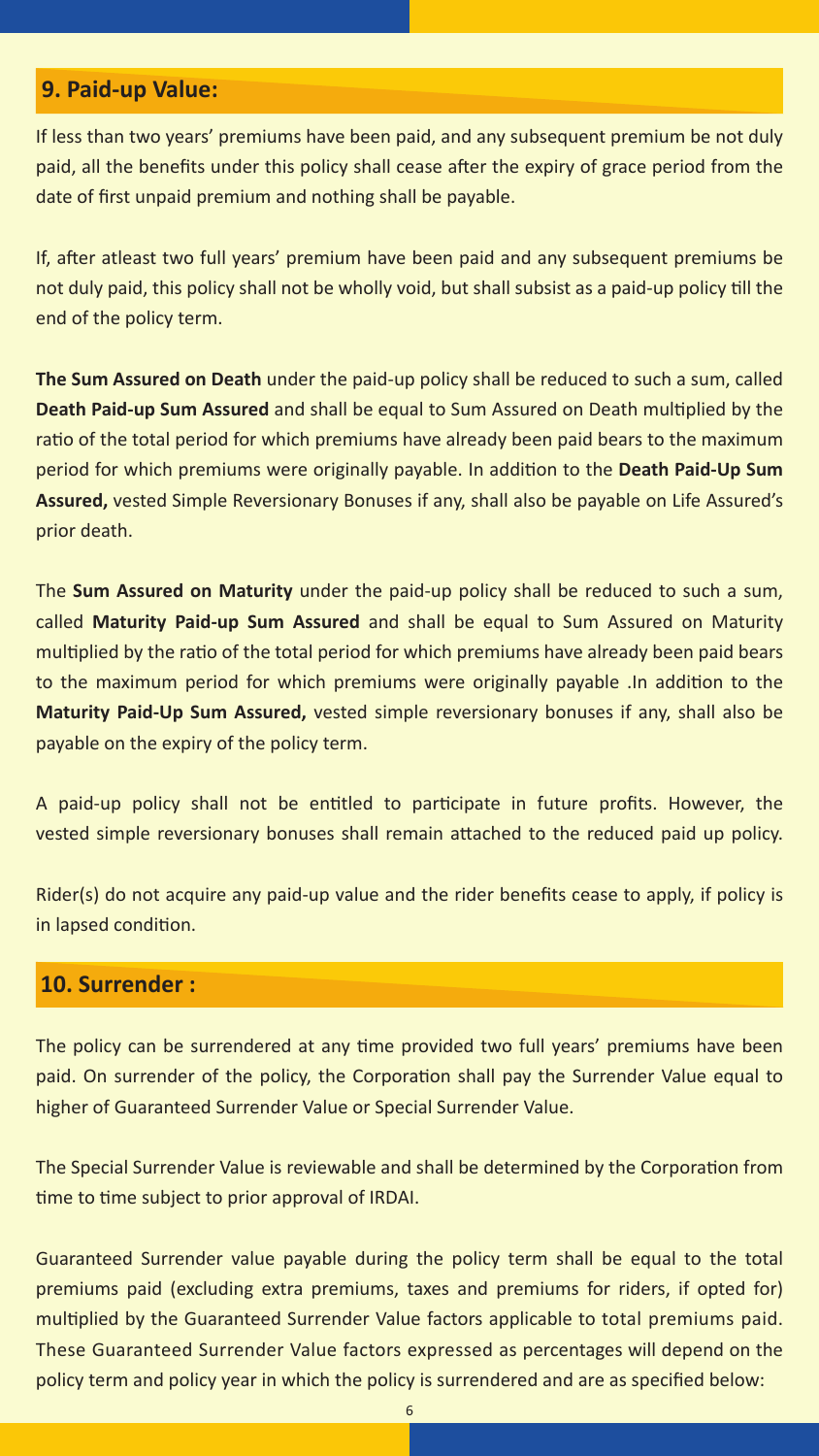#### **9. Paid-up Value:**

If less than two years' premiums have been paid, and any subsequent premium be not duly paid, all the benefits under this policy shall cease after the expiry of grace period from the date of first unpaid premium and nothing shall be payable.

If, after atleast two full years' premium have been paid and any subsequent premiums be not duly paid, this policy shall not be wholly void, but shall subsist as a paid-up policy till the end of the policy term.

**The Sum Assured on Death** under the paid-up policy shall be reduced to such a sum, called **Death Paid-up Sum Assured** and shall be equal to Sum Assured on Death multiplied by the ratio of the total period for which premiums have already been paid bears to the maximum period for which premiums were originally payable. In addition to the **Death Paid-Up Sum Assured,** vested Simple Reversionary Bonuses if any, shall also be payable on Life Assured's prior death.

The **Sum Assured on Maturity** under the paid-up policy shall be reduced to such a sum, called **Maturity Paid-up Sum Assured** and shall be equal to Sum Assured on Maturity multiplied by the ratio of the total period for which premiums have already been paid bears to the maximum period for which premiums were originally payable .In addition to the **Maturity Paid-Up Sum Assured,** vested simple reversionary bonuses if any, shall also be payable on the expiry of the policy term.

A paid-up policy shall not be entitled to participate in future profits. However, the vested simple reversionary bonuses shall remain attached to the reduced paid up policy.

Rider(s) do not acquire any paid-up value and the rider benefits cease to apply, if policy is in lapsed condition.

#### **10. Surrender :**

The policy can be surrendered at any time provided two full years' premiums have been paid. On surrender of the policy, the Corporation shall pay the Surrender Value equal to higher of Guaranteed Surrender Value or Special Surrender Value.

The Special Surrender Value is reviewable and shall be determined by the Corporation from time to time subject to prior approval of IRDAI.

Guaranteed Surrender value payable during the policy term shall be equal to the total premiums paid (excluding extra premiums, taxes and premiums for riders, if opted for) multiplied by the Guaranteed Surrender Value factors applicable to total premiums paid. These Guaranteed Surrender Value factors expressed as percentages will depend on the policy term and policy year in which the policy is surrendered and are as specified below: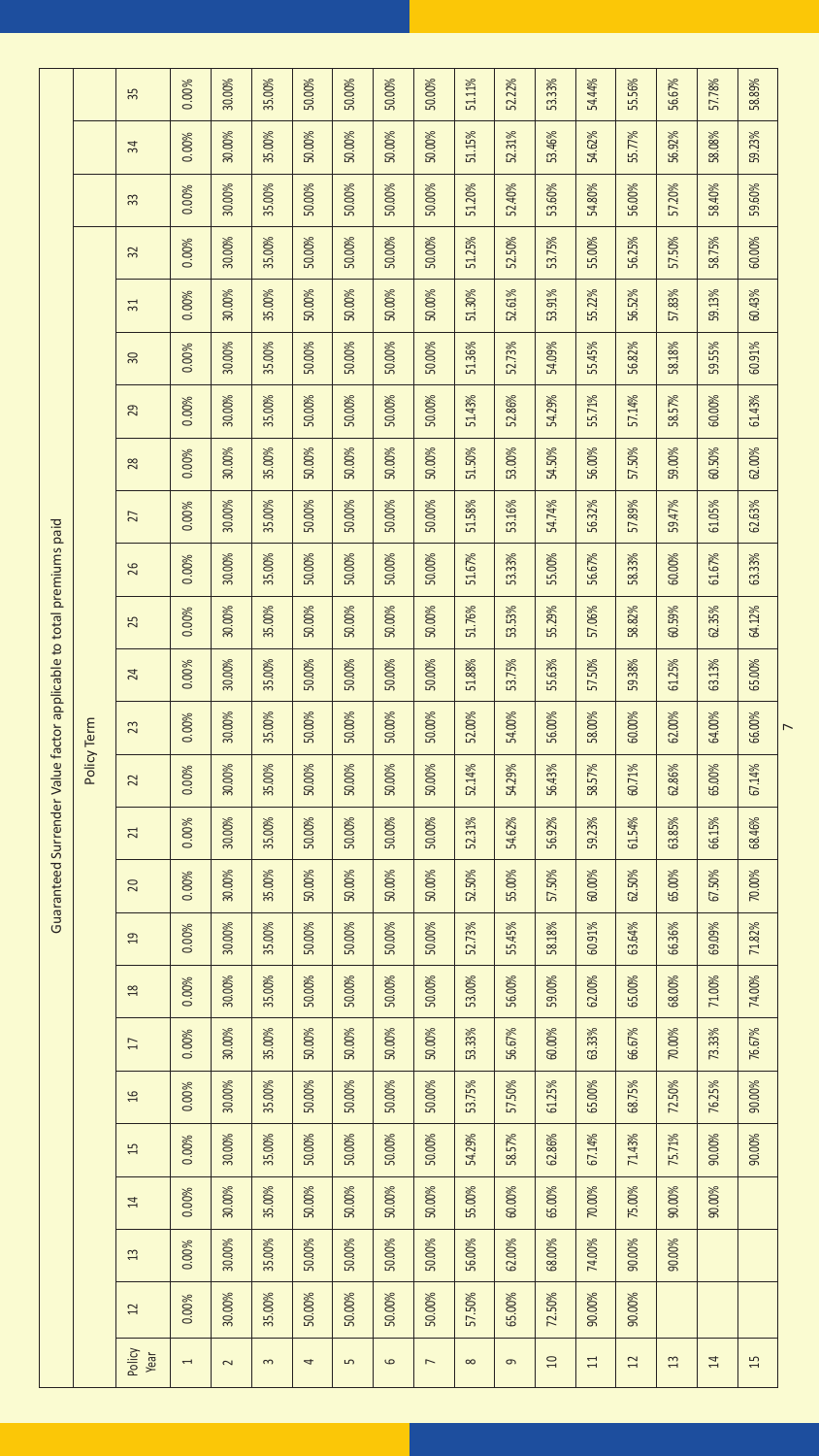|                                                                     |             | 35              | 0.00%          | 30.00% | 35.00%   | 50.00% | 50.00%     | 50.00%  | 50.00%         | 51.11%   | 52.22% | 53.33%   | 54.44% | 55.56% | 56.67% | 57.78% | 58.89% |                |
|---------------------------------------------------------------------|-------------|-----------------|----------------|--------|----------|--------|------------|---------|----------------|----------|--------|----------|--------|--------|--------|--------|--------|----------------|
|                                                                     |             | ¥,              | 0.00%          | 30.00% | 35.00%   | 50.00% | 50.00%     | 50.00%  | 50.00%         | 51.15%   | 52.31% | 53.46%   | 54.62% | 55.77% | 56.92% | 58.08% | 59.23% |                |
|                                                                     |             | 33              | 0.00%          | 30.00% | 35.00%   | 50.00% | 50.00%     | 50.00%  | 50.00%         | 51.20%   | 52.40% | 53.60%   | 54.80% | 56.00% | 57.20% | 58.40% | 59.60% |                |
|                                                                     |             | 32              | 0.00%          | 30.00% | 35.00%   | 50.00% | 50.00%     | 50.00%  | 50.00%         | 51.25%   | 52.50% | 53.75%   | 55.00% | 56.25% | 57.50% | 58.75% | 60.00% |                |
|                                                                     |             | $\overline{31}$ | 0.00%          | 30.00% | 35.00%   | 50.00% | 50.00%     | 50.00%  | 50.00%         | 51.30%   | 52.61% | 53.91%   | 55.22% | 56.52% | 57.83% | 59.13% | 60.43% |                |
|                                                                     |             | 30              | 0.00%          | 30.00% | 35.00%   | 50.00% | 50.00%     | 50.00%  | 50.00%         | 51.36%   | 52.73% | 54.09%   | 55.45% | 56.82% | 58.18% | 59.55% | 60.91% |                |
|                                                                     |             | 29              | 0.00%          | 30.00% | 35.00%   | 50.00% | 50.00%     | 50.00%  | 50.00%         | 51.43%   | 52.86% | 54.29%   | 55.71% | 57.14% | 58.57% | 60.00% | 61.43% |                |
|                                                                     |             | 28              | 0.00%          | 30.00% | 35.00%   | 50.00% | 50.00%     | 50.00%  | 50.00%         | 51.50%   | 53.00% | 54.50%   | 56.00% | 57.50% | 59.00% | 60.50% | 62.00% |                |
|                                                                     |             | 27              | 0.00%          | 30.00% | 35.00%   | 50.00% | 50.00%     | 50.00%  | 50.00%         | 51.58%   | 53.16% | 54.74%   | 56.32% | 57.89% | 59.47% | 61.05% | 62.63% |                |
|                                                                     |             | 26              | 0.00%          | 30.00% | 35.00%   | 50.00% | 50.00%     | 50.00%  | 50.00%         | 51.67%   | 53.33% | 55.00%   | 56.67% | 58.33% | 60.00% | 61.67% | 63.33% |                |
|                                                                     |             | 25              | 0.00%          | 30.00% | 35.00%   | 50.00% | 50.00%     | 50.00%  | 50.00%         | 51.76%   | 53.53% | 55.29%   | 57.06% | 58.82% | 60.59% | 62.35% | 64.12% |                |
| Guaranteed Surrender Value factor applicable to total premiums paid | Policy Term | 24              | 0.00%          | 30.00% | 35.00%   | 50.00% | 50.00%     | 50.00%  | 50.00%         | 51.88%   | 53.75% | 55.63%   | 57.50% | 59.38% | 61.25% | 63.13% | 65.00% | $\overline{a}$ |
|                                                                     |             | 23              | 0.00%          | 30.00% | 35.00%   | 50.00% | 50.00%     | 50.00%  | 50.00%         | 52.00%   | 54.00% | 56.00%   | 58.00% | 60.00% | 62.00% | 64.00% | 66.00% |                |
|                                                                     |             | 22              | 0.00%          | 30.00% | 35.00%   | 50.00% | 50.00%     | 50.00%  | 50.00%         | 52.14%   | 54.29% | 56.43%   | 58.57% | 60.71% | 62.86% | 65.00% | 67.14% |                |
|                                                                     |             | 21              | 0.00%          | 30.00% | 35.00%   | 50.00% | 50.00%     | 50.00%  | 50.00%         | 52.31%   | 54.62% | 56.92%   | 59.23% | 61.54% | 63.85% | 66.15% | 68.46% |                |
|                                                                     |             | 20              | 0.00%          | 30.00% | 35.00%   | 50.00% | 50.00%     | 50.00%  | 50.00%         | 52.50%   | 55.00% | 57.50%   | 60.00% | 62.50% | 65.00% | 67.50% | 70.00% |                |
|                                                                     |             | $^{2}$          | 0.00%          | 30.00% | 35.00%   | 50.00% | 50.00%     | 50.00%  | 50.00%         | 52.73%   | 55.45% | 58.18%   | 60.91% | 63.64% | 66.36% | 69.09% | 71.82% |                |
|                                                                     |             | 18              | 0.00%          | 30.00% | 35.00%   | 50.00% | 50.00%     | 50.00%  | 50.00%         | 53.00%   | 56.00% | 59.00%   | 62.00% | 65.00% | 68.00% | 71.00% | 74.00% |                |
|                                                                     |             | IJ              | 0.00%          | 30.00% | 35.00%   | 50.00% | 50.00%     | 50.00%  | 50.00%         | 53.33%   | 56.67% | 60.00%   | 63.33% | 66.67% | 70.00% | 73.33% | 76.67% |                |
|                                                                     |             | 16              | 0.00%          | 30.00% | 35.00%   | 50.00% | 50.00%     | 50.00%  | 50.00%         | 53.75%   | 57.50% | 61.25%   | 65.00% | 68.75% | 72.50% | 76.25% | 90.00% |                |
|                                                                     |             | 15              | 0.00%          | 30.00% | 35.00%   | 50.00% | 50.00%     | 50.00%  | 50.00%         | 54.29%   | 58.57% | 62.86%   | 67.14% | 71.43% | 75.71% | 90.00% | 90.00% |                |
|                                                                     |             | $\overline{z}$  | 0.00%          | 30.00% | 35.00%   | 50.00% | 50.00%     | 50.00%  | 50.00%         | 55.00%   | 60.00% | 65.00%   | 70.00% | 75.00% | 90.00% | 90.00% |        |                |
|                                                                     |             | 13              | 0.00%          | 30.00% | 35.00%   | 50.00% | 50.00%     | 50.00%  | 50.00%         | 56.00%   | 62.00% | 68.00%   | 74.00% | 90.00% | 90.00% |        |        |                |
|                                                                     |             | $\overline{1}$  | 0.00%          | 30.00% | 35.00%   | 50.00% | 50.00%     | 50.00%  | 50.00%         | 57.50%   | 65.00% | 72.50%   | 90.00% | 90.00% |        |        |        |                |
|                                                                     |             | Policy<br>Year  | $\overline{a}$ | $\sim$ | $\infty$ | 4      | $\sqrt{2}$ | $\circ$ | $\overline{a}$ | $\infty$ | o      | $\Omega$ | $\Xi$  | 12     | 13     | 14     | 15     |                |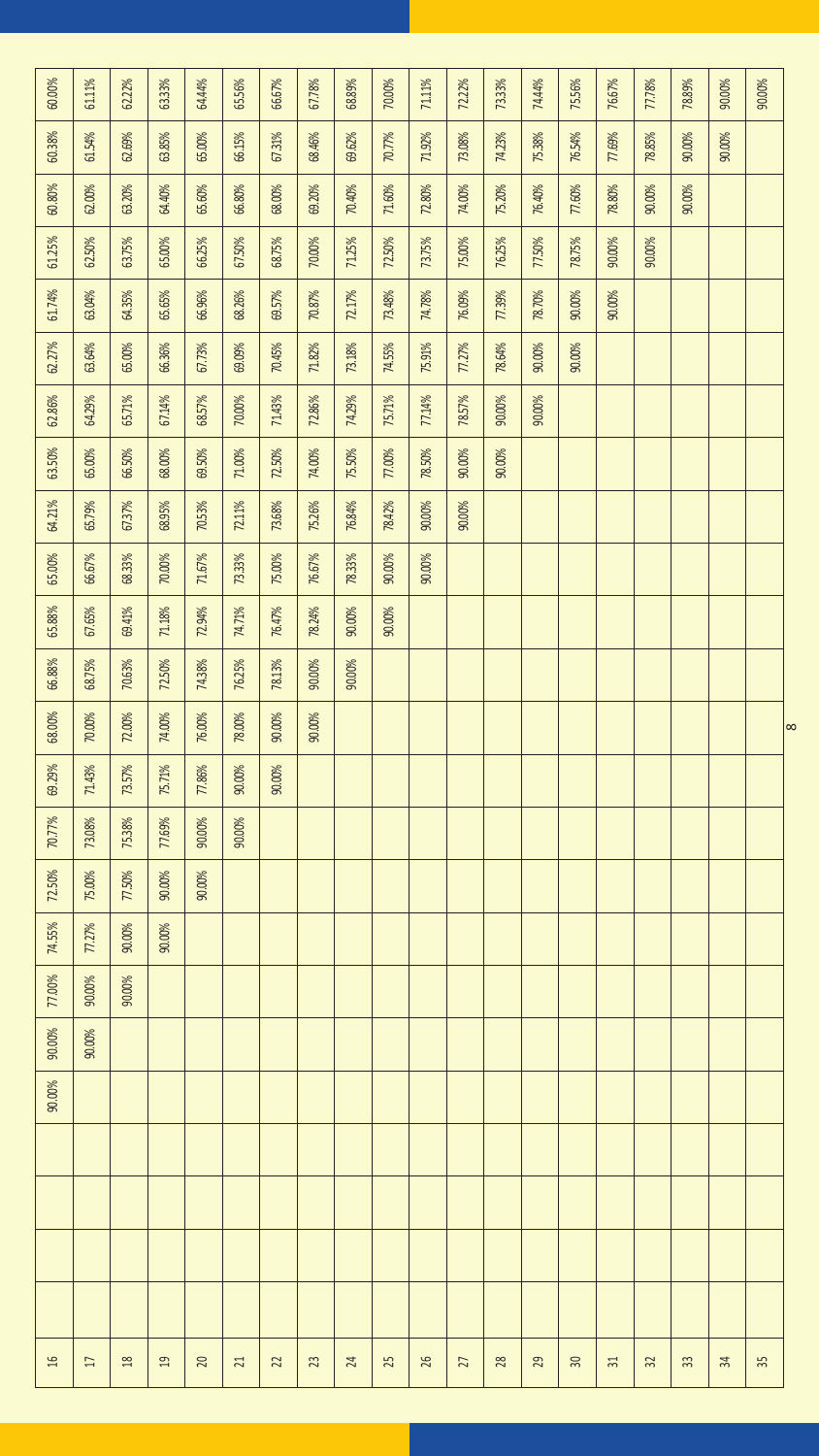| 60.00%         | 61.11% | 62.22%        | 63.33% | 64.44%    | 65.56%          | 66.67% | 67.78% | 68.89%                  | 70.00% | 71.11% | 72.22%         | 7333%  | 74.44% | 75.56%    | 76.67% | 77.78% | 78.89% | 90.00% | 90.00% |  |
|----------------|--------|---------------|--------|-----------|-----------------|--------|--------|-------------------------|--------|--------|----------------|--------|--------|-----------|--------|--------|--------|--------|--------|--|
| 60.38%         | 61.54% | 62.69%        | 63.85% | 65.00%    | 66.15%          | 67.31% | 68.46% | 69.62%                  | 70.77% | 71.92% | 73.08%         | 74.23% | 75.38% | 76.54%    | 77.69% | 78.85% | 90.00% | 90.00% |        |  |
| 60.80%         | 62.00% | 63.20%        | 64.40% | 65.60%    | 66.80%          | 68.00% | 69.20% | 70.40%                  | 71.60% | 72.80% | 74.00%         | 75.20% | 76.40% | 77.60%    | 78.80% | 90.00% | 90.00% |        |        |  |
| 61.25%         | 62.50% | 63.75%        | 65.00% | 66.25%    | 67.50%          | 68.75% | 70.00% | 71.25%                  | 72.50% | 73.75% | 75.00%         | 76.25% | 7750%  | 78.75%    | 90.00% | 90.00% |        |        |        |  |
| 61.74%         | 63.04% | 64.35%        | 65.65% | 66.96%    | 68.26%          | 69.57% | 70.87% | 72.17%                  | 73.48% | 74.78% | 76.09%         | 77.39% | 78.70% | 90.00%    | 90.00% |        |        |        |        |  |
| 62.27%         | 63.64% | 65.00%        | 66.36% | 67.73%    | 69.09%          | 70.45% | 71.82% | 73.18%                  | 74.55% | 75.91% | 77.27%         | 78.64% | 90.00% | 90.00%    |        |        |        |        |        |  |
| 62.86%         | 64.29% | 65.71%        | 67.14% | 68.57%    | 70.00%          | 7143%  | 72.86% | 74.29%                  | 75.71% | 77.14% | 78.57%         | 90.00% | 90.00% |           |        |        |        |        |        |  |
| 63.50%         | 65.00% | 66.50%        | 68.00% | 69.50%    | 71.00%          | 72.50% | 74.00% | 75.50%                  | 77.00% | 78.50% | 90.00%         | 90.00% |        |           |        |        |        |        |        |  |
| 64.21%         | 65.79% | 67.37%        | 68.95% | 70.53%    | 72.11%          | 73.68% | 75.26% | 76.84%                  | 78.42% | 90.00% | 90.00%         |        |        |           |        |        |        |        |        |  |
| 65.00%         | 66.67% | 68.33%        | 70.00% | 71.67%    | 73.33%          | 75.00% | 76.67% | 78.33%                  | 90.00% | 90.00% |                |        |        |           |        |        |        |        |        |  |
| 65.88%         | 67.65% | 69.41%        | 71.18% | 72.94%    | 74.71%          | 76.47% | 78.24% | 90.00%                  | 90.00% |        |                |        |        |           |        |        |        |        |        |  |
| 66.88%         | 68.75% | 70.63%        | 72.50% | 74.38%    | 76.25%          | 78.13% | 90.00% | $90.00\%$               |        |        |                |        |        |           |        |        |        |        |        |  |
| 68.00%         | 70.00% | 72.00%        | 74.00% | 76.00%    | 78.00%          | 90.00% | 90.00% |                         |        |        |                |        |        |           |        |        |        |        |        |  |
| 69.29%         | 71.43% | 73.57%        | 75.71% | 77.86%    | 90.00%          | 90.00% |        |                         |        |        |                |        |        |           |        |        |        |        |        |  |
| 70.77%         | 73.08% | 75.38%        | 77.69% | 90.00%    | 90.00%          |        |        |                         |        |        |                |        |        |           |        |        |        |        |        |  |
| 72.50%         | 75.00% | 7750%         | 90.00% | 90.00%    |                 |        |        |                         |        |        |                |        |        |           |        |        |        |        |        |  |
| 74.55%         | 77.27% | 90.00%        | 90.00% |           |                 |        |        |                         |        |        |                |        |        |           |        |        |        |        |        |  |
| 77.00%         | 90.00% | 90.00%        |        |           |                 |        |        |                         |        |        |                |        |        |           |        |        |        |        |        |  |
| 90.00%         | 90.00% |               |        |           |                 |        |        |                         |        |        |                |        |        |           |        |        |        |        |        |  |
| 90.00%         |        |               |        |           |                 |        |        |                         |        |        |                |        |        |           |        |        |        |        |        |  |
|                |        |               |        |           |                 |        |        |                         |        |        |                |        |        |           |        |        |        |        |        |  |
|                |        |               |        |           |                 |        |        |                         |        |        |                |        |        |           |        |        |        |        |        |  |
|                |        |               |        |           |                 |        |        |                         |        |        |                |        |        |           |        |        |        |        |        |  |
|                |        |               |        |           |                 |        |        |                         |        |        |                |        |        |           |        |        |        |        |        |  |
| $\frac{16}{2}$ | IJ     | $\frac{1}{2}$ | $\Xi$  | $\approx$ | $\overline{21}$ | 22     | 23     | $\overline{\mathbb{A}}$ | 25     | 26     | $\overline{z}$ | 28     | 29     | $\approx$ | $\Xi$  | 32     | 33     | ¥,     | 55     |  |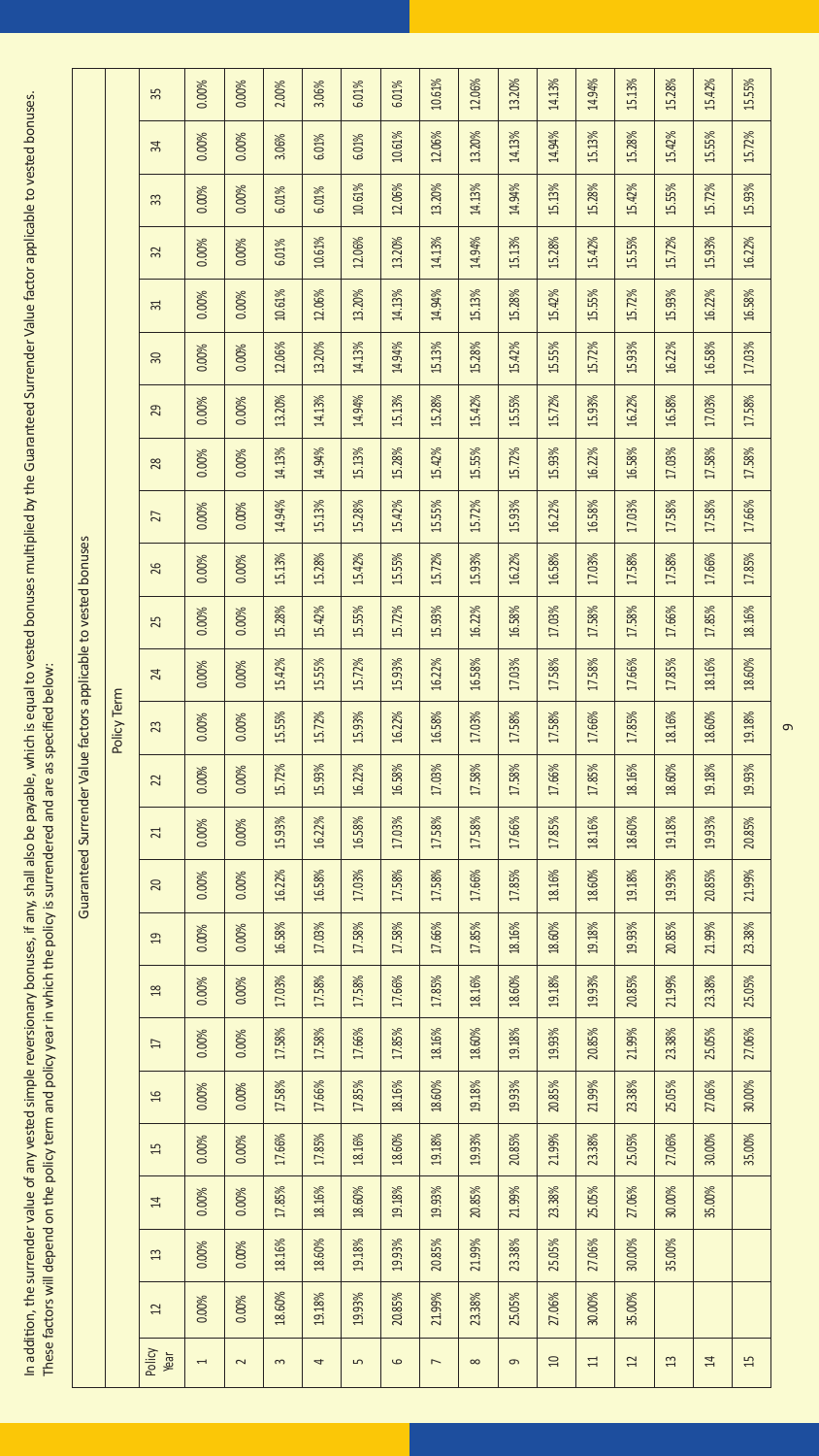In addition, the surrender value of any vested simple reversionary bonuses, if any, shall also be payable, which is equal to vested bonuses multiplied by the Guaranteed Surrender Value factor applicable to vested bonuses. In addition, the surrender value of any vested simple reversionary bonuses, if any, shall also be payable, which is equal to vested bonuses multiplied by the Guaranteed Surrender Value factor applicable to vested bonuses. These factors will depend on the policy term and policy year in which the policy is surrendered and are as specified below: These factors will depend on the policy term and policy year in which the policy is surrendered and are as specified below:

|                                                                 |             | 35              | 0.00%          | 0.00%  | 2.00%    | 3.06%  | 6.01%  | 6.01%   | 10.61%         | 12.06%   | 13.20%   | 14.13%   | 14.94% | 15.13% | 15.28% | 15.42% | 15.55% |
|-----------------------------------------------------------------|-------------|-----------------|----------------|--------|----------|--------|--------|---------|----------------|----------|----------|----------|--------|--------|--------|--------|--------|
|                                                                 |             | ¥               | 0.00%          | 0.00%  | 3.06%    | 6.01%  | 6.01%  | 10.61%  | 12.06%         | 13.20%   | 14.13%   | 14.94%   | 15.13% | 15.28% | 15.42% | 15.55% | 15.72% |
|                                                                 |             | 33              | 0.00%          | 0.00%  | 6.01%    | 6.01%  | 10.61% | 12.06%  | 13.20%         | 14.13%   | 14.94%   | 15.13%   | 15.28% | 15.42% | 15.55% | 15.72% | 15.93% |
|                                                                 |             | 32              | 0.00%          | 0.00%  | 6.01%    | 10.61% | 12.06% | 13.20%  | 14.13%         | 14.94%   | 15.13%   | 15.28%   | 15.42% | 15.55% | 15.72% | 15.93% | 16.22% |
|                                                                 |             | $\Xi$           | 0.00%          | 0.00%  | 10.61%   | 12.06% | 13.20% | 14.13%  | 14.94%         | 15.13%   | 15.28%   | 15.42%   | 15.55% | 15.72% | 15.93% | 16.22% | 16.58% |
|                                                                 |             | 舄               | 0.00%          | 0.00%  | 12.06%   | 13.20% | 14.13% | 14.94%  | 15.13%         | 15.28%   | 15.42%   | 15.55%   | 15.72% | 15.93% | 16.22% | 16.58% | 17.03% |
|                                                                 |             | 29              | 0.00%          | 0.00%  | 13.20%   | 14.13% | 14.94% | 15.13%  | 15.28%         | 15.42%   | 15.55%   | 15.72%   | 15.93% | 16.22% | 16.58% | 17.03% | 17.58% |
|                                                                 |             | 28              | 0.00%          | 0.00%  | 14.13%   | 14.94% | 15.13% | 15.28%  | 15.42%         | 15.55%   | 15.72%   | 15.93%   | 16.22% | 16.58% | 17.03% | 17.58% | 17.58% |
|                                                                 |             | 27              | 0.00%          | 0.00%  | 14.94%   | 15.13% | 15.28% | 15.42%  | 15.55%         | 15.72%   | 15.93%   | 16.22%   | 16.58% | 17.03% | 17.58% | 17.58% | 17.66% |
|                                                                 |             | 26              | 0.00%          | 0.00%  | 15.13%   | 15.28% | 15.42% | 15.55%  | 15.72%         | 15.93%   | 16.22%   | 16.58%   | 17.03% | 17.58% | 17.58% | 17.66% | 17.85% |
|                                                                 |             | 25              | 0.00%          | 0.00%  | 15.28%   | 15.42% | 15.55% | 15.72%  | 15.93%         | 16.22%   | 16.58%   | 17.03%   | 17.58% | 17.58% | 17.66% | 17.85% | 18.16% |
|                                                                 |             | 24              | 0.00%          | 0.00%  | 15.42%   | 15.55% | 15.72% | 15.93%  | 16.22%         | 16.58%   | 17.03%   | 17.58%   | 17.58% | 17.66% | 17.85% | 18.16% | 18.60% |
|                                                                 | Policy Term | 23              | 0.00%          | 0.00%  | 15.55%   | 15.72% | 15.93% | 16.22%  | 16.58%         | 17.03%   | 17.58%   | 17.58%   | 17.66% | 17.85% | 18.16% | 18.60% | 19.18% |
|                                                                 |             | $\overline{2}$  | 0.00%          | 0.00%  | 15.72%   | 15.93% | 16.22% | 16.58%  | 17.03%         | 17.58%   | 17.58%   | 17.66%   | 17.85% | 18.16% | 18.60% | 19.18% | 19.93% |
|                                                                 |             | $\overline{z}$  | 0.00%          | 0.00%  | 15.93%   | 16.22% | 16.58% | 17.03%  | 17.58%         | 17.58%   | 17.66%   | 17.85%   | 18.16% | 18.60% | 19.18% | 19.93% | 20.85% |
| Guaranteed Surrender Value factors applicable to vested bonuses |             | 20              | 0.00%          | 0.00%  | 16.22%   | 16.58% | 17.03% | 17.58%  | 17.58%         | 17.66%   | 17.85%   | 18.16%   | 18.60% | 19.18% | 19.93% | 20.85% | 21.99% |
|                                                                 |             | $\mathfrak{a}$  | 0.00%          | 0.00%  | 16.58%   | 17.03% | 17.58% | 17.58%  | 17.66%         | 17.85%   | 18.16%   | 18.60%   | 19.18% | 19.93% | 20.85% | 21.99% | 23.38% |
|                                                                 |             | $\frac{8}{2}$   | 0.00%          | 0.00%  | 17.03%   | 17.58% | 17.58% | 17.66%  | 17.85%         | 18.16%   | 18.60%   | 19.18%   | 19.93% | 20.85% | 21.99% | 23.38% | 25.05% |
|                                                                 |             | $\overline{17}$ | 0.00%          | 0.00%  | 17.58%   | 17.58% | 17.66% | 17.85%  | 18.16%         | 18.60%   | 19.18%   | 19.93%   | 20.85% | 21.99% | 23.38% | 25.05% | 27.06% |
|                                                                 |             | $\frac{6}{2}$   | 0.00%          | 0.00%  | 17.58%   | 17.66% | 17.85% | 18.16%  | 18.60%         | 19.18%   | 19.93%   | 20.85%   | 21.99% | 23.38% | 25.05% | 27.06% | 30.00% |
|                                                                 |             | $\overline{15}$ | 0.00%          | 0.00%  | 17.66%   | 17.85% | 18.16% | 18.60%  | 19.18%         | 19.93%   | 20.85%   | 21.99%   | 23.38% | 25.05% | 27.06% | 30.00% | 35.00% |
|                                                                 |             | $\overline{14}$ | 0.00%          | 0.00%  | 17.85%   | 18.16% | 18.60% | 19.18%  | 19.93%         | 20.85%   | 21.99%   | 23.38%   | 25.05% | 27.06% | 30.00% | 35.00% |        |
|                                                                 |             | 13              | 0.00%          | 0.00%  | 18.16%   | 18.60% | 19.18% | 19.93%  | 20.85%         | 21.99%   | 23.38%   | 25.05%   | 27.06% | 30.00% | 35.00% |        |        |
|                                                                 |             | $\mathfrak{U}$  | 0.00%          | 0.00%  | 18.60%   | 19.18% | 19.93% | 20.85%  | 21.99%         | 23.38%   | 25.05%   | 27.06%   | 30.00% | 35.00% |        |        |        |
|                                                                 |             | Policy<br>Year  | $\overline{a}$ | $\sim$ | $\infty$ | 4      | Lŋ     | $\circ$ | $\overline{ }$ | $\infty$ | $\sigma$ | $\Omega$ | $\Xi$  | 12     | 13     | 14     | 15     |

 $\sigma$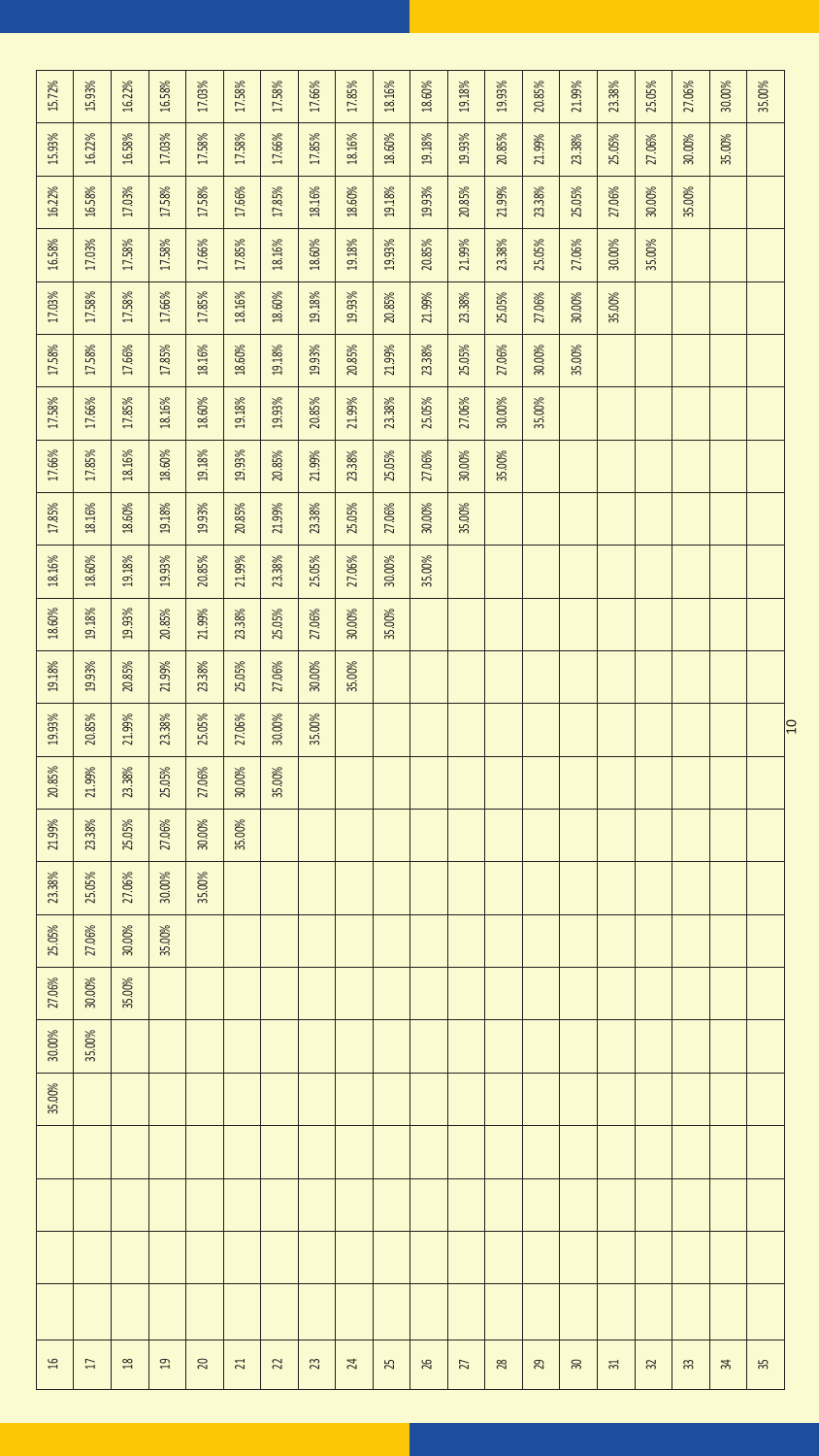| 15.72% | 15.93% | 16.22%        | 16.58% | 17.03%    | 17.58%          | 17.58%         | 17.66%  | 17.85%                  | 18.16% | 18.60% | 19.18%                   | 19.93% | 20.85%   | 21.99%    | 23.38% | 25.05% | 27.06% | 30.00% | 35.00% |                 |
|--------|--------|---------------|--------|-----------|-----------------|----------------|---------|-------------------------|--------|--------|--------------------------|--------|----------|-----------|--------|--------|--------|--------|--------|-----------------|
| 15.93% | 16.22% | 16.58%        | 17.03% | 17.58%    | 17.58%          | 17.66%         | 17.85%  | 18.16%                  | 18.60% | 19.18% | 19.93%                   | 20.85% | 21.99%   | 2338%     | 25.05% | 27.06% | 30.00% | 35.00% |        |                 |
| 16.22% | 16.58% | 17.03%        | 17.58% | 17.58%    | 17.66%          | 17.85%         | 18.16%  | 18.60%                  | 19.18% | 19.93% | 20.85%                   | 21.99% | 23.38%   | 25.05%    | 27.06% | 30.00% | 35.00% |        |        |                 |
| 16.58% | 17.03% | 17.58%        | 17.58% | 17.66%    | 17.85%          | 18.16%         | 18.60%  | 19.18%                  | 19.93% | 20.85% | 21.99%                   | 23.38% | 25.05%   | 27.06%    | 30.00% | 35.00% |        |        |        |                 |
| 17.03% | 17.58% | 17.58%        | 17.66% | 17.85%    | 18.16%          | 18.60%         | 19.18%  | 19.93%                  | 20.85% | 21.99% | 23.38%                   | 25.05% | 27.06%   | 30.00%    | 35.00% |        |        |        |        |                 |
| 17.58% | 17.58% | 17.66%        | 17.85% | 18.16%    | 18.60%          | 19.18%         | 19.93%  | 20.85%                  | 21.99% | 23.38% | 25.05%                   | 27.06% | 30.00%   | 35.00%    |        |        |        |        |        |                 |
| 17.58% | 17.66% | 17.85%        | 18.16% | 18.60%    | 19.18%          | 19.93%         | 20.85%  | 21.99%                  | 23.38% | 25.05% | 27.06%                   | 30.00% | 35.00%   |           |        |        |        |        |        |                 |
| 17.66% | 17.85% | 18.16%        | 18.60% | 19.18%    | 19.93%          | 20.85%         | 21.99%  | 23.38%                  | 25.05% | 27.06% | 30.00%                   | 35.00% |          |           |        |        |        |        |        |                 |
| 17.85% | 18.16% | 18.60%        | 19.18% | 19.93%    | $20.85\%$       | 21.99%         | 23.38%  | 25.05%                  | 27.06% | 30.00% | 35.00%                   |        |          |           |        |        |        |        |        |                 |
| 18.16% | 18.60% | 19.18%        | 19.93% | 20.85%    | 21.99%          | 23.38%         | 25.05%  | 27.06%                  | 30.00% | 35.00% |                          |        |          |           |        |        |        |        |        |                 |
| 18.60% | 19.18% | 19.93%        | 20.85% | 21.99%    | 2338%           | 25.05%         | 27.06%  | 30.00%                  | 35.00% |        |                          |        |          |           |        |        |        |        |        |                 |
| 19.18% | 19.93% | 20.85%        | 21.99% | 23.38%    | $25.05\%$       | 27.06%         | 30.00%  | 35.00%                  |        |        |                          |        |          |           |        |        |        |        |        |                 |
| 19.93% | 20.85% | 21.99%        | 23.38% | 25.05%    | 27.06%          | 30.00%         | 35.00%  |                         |        |        |                          |        |          |           |        |        |        |        |        | $\overline{10}$ |
| 20.85% | 21.99% | 23.38%        | 25.05% | 27.06%    | 30.00%          | 35.00%         |         |                         |        |        |                          |        |          |           |        |        |        |        |        |                 |
| 21.99% | 23.38% | 25.05%        | 27.06% | 30.00%    | 35.00%          |                |         |                         |        |        |                          |        |          |           |        |        |        |        |        |                 |
| 23.38% | 25.05% | 27.06%        | 30.00% | 35.00%    |                 |                |         |                         |        |        |                          |        |          |           |        |        |        |        |        |                 |
| 25.05% | 27.06% | 30.00%        | 35.00% |           |                 |                |         |                         |        |        |                          |        |          |           |        |        |        |        |        |                 |
| 27.06% | 30.00% | 35.00%        |        |           |                 |                |         |                         |        |        |                          |        |          |           |        |        |        |        |        |                 |
| 30.00% | 35.00% |               |        |           |                 |                |         |                         |        |        |                          |        |          |           |        |        |        |        |        |                 |
| 35.00% |        |               |        |           |                 |                |         |                         |        |        |                          |        |          |           |        |        |        |        |        |                 |
|        |        |               |        |           |                 |                |         |                         |        |        |                          |        |          |           |        |        |        |        |        |                 |
|        |        |               |        |           |                 |                |         |                         |        |        |                          |        |          |           |        |        |        |        |        |                 |
|        |        |               |        |           |                 |                |         |                         |        |        |                          |        |          |           |        |        |        |        |        |                 |
|        |        |               |        |           |                 |                |         |                         |        |        |                          |        |          |           |        |        |        |        |        |                 |
| βĻ     | $\Box$ | $\frac{1}{2}$ | $\Xi$  | $\bowtie$ | $\overline{21}$ | $\mathfrak{A}$ | $_{23}$ | $\overline{\mathbb{Z}}$ | 25     | æ      | $\overline{\mathcal{U}}$ | $28$   | <b>R</b> | $\approx$ | $\Xi$  | 32     | 33     | 呙      | 35     |                 |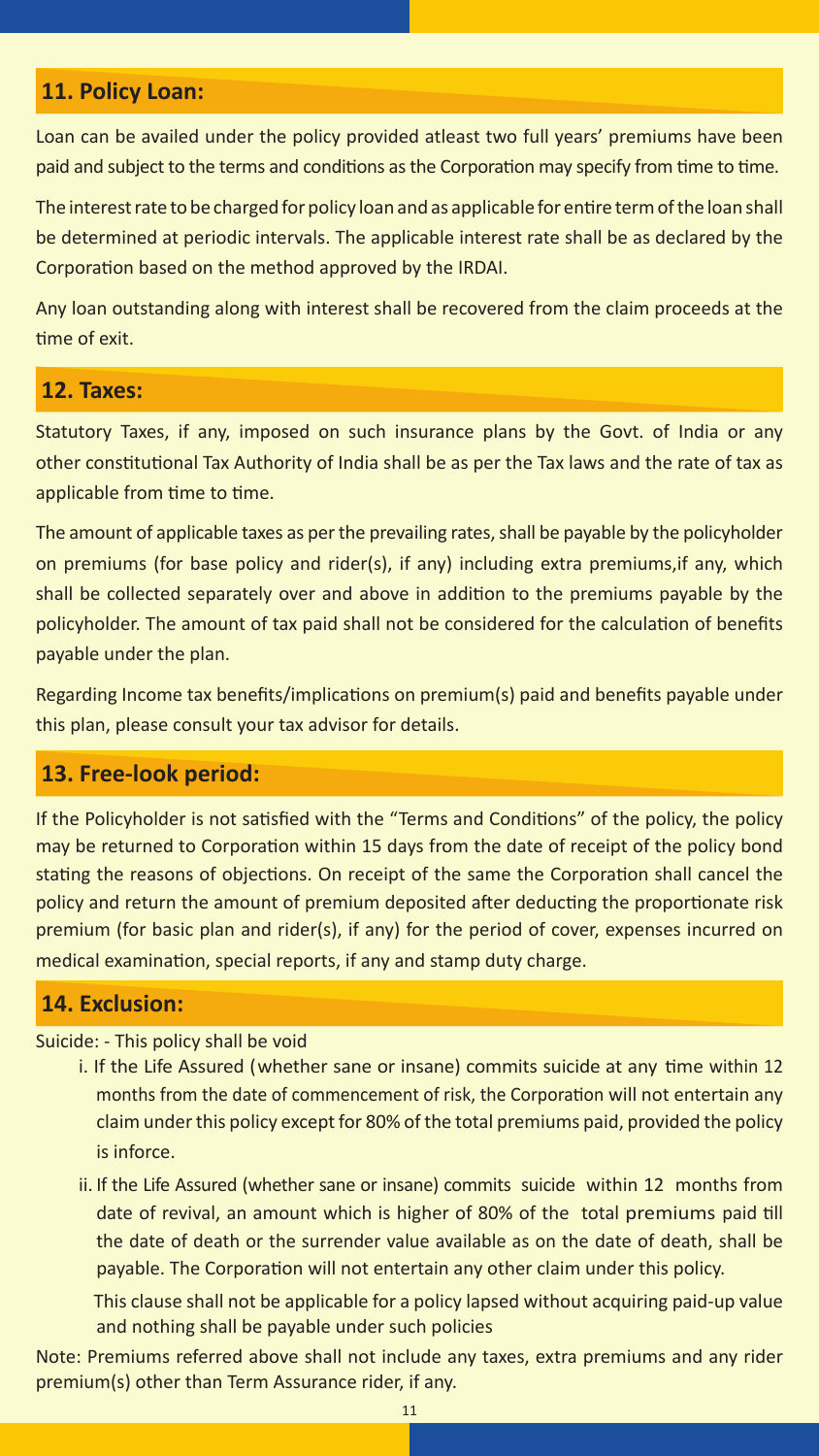#### **11. Policy Loan:**

Loan can be availed under the policy provided atleast two full years' premiums have been paid and subject to the terms and conditions as the Corporation may specify from time to time.

The interest rate to be charged for policy loan and as applicable for entire term of the loan shall be determined at periodic intervals. The applicable interest rate shall be as declared by the Corporation based on the method approved by the IRDAI.

Any loan outstanding along with interest shall be recovered from the claim proceeds at the time of exit.

#### **12. Taxes:**

Statutory Taxes, if any, imposed on such insurance plans by the Govt. of India or any other constitutional Tax Authority of India shall be as per the Tax laws and the rate of tax as applicable from time to time.

The amount of applicable taxes as per the prevailing rates, shall be payable by the policyholder on premiums (for base policy and rider(s), if any) including extra premiums,if any, which shall be collected separately over and above in addition to the premiums payable by the policyholder. The amount of tax paid shall not be considered for the calculation of benefits payable under the plan.

Regarding Income tax benefits/implications on premium(s) paid and benefits payable under this plan, please consult your tax advisor for details.

#### **13. Free-look period:**

If the Policyholder is not satisfied with the "Terms and Conditions" of the policy, the policy may be returned to Corporation within 15 days from the date of receipt of the policy bond stating the reasons of objections. On receipt of the same the Corporation shall cancel the policy and return the amount of premium deposited after deducting the proportionate risk premium (for basic plan and rider(s), if any) for the period of cover, expenses incurred on medical examination, special reports, if any and stamp duty charge.

#### **14. Exclusion:**

#### Suicide: - This policy shall be void

- i. If the Life Assured (whether sane or insane) commits suicide at any time within 12 months from the date of commencement of risk, the Corporation will not entertain any claim under this policy except for 80% of the total premiums paid, provided the policy is inforce.
- ii. If the Life Assured (whether sane or insane) commits suicide within 12 months from date of revival, an amount which is higher of 80% of the total premiums paid till the date of death or the surrender value available as on the date of death, shall be payable. The Corporation will not entertain any other claim under this policy.

This clause shall not be applicable for a policy lapsed without acquiring paid-up value and nothing shall be payable under such policies

Note: Premiums referred above shall not include any taxes, extra premiums and any rider premium(s) other than Term Assurance rider, if any.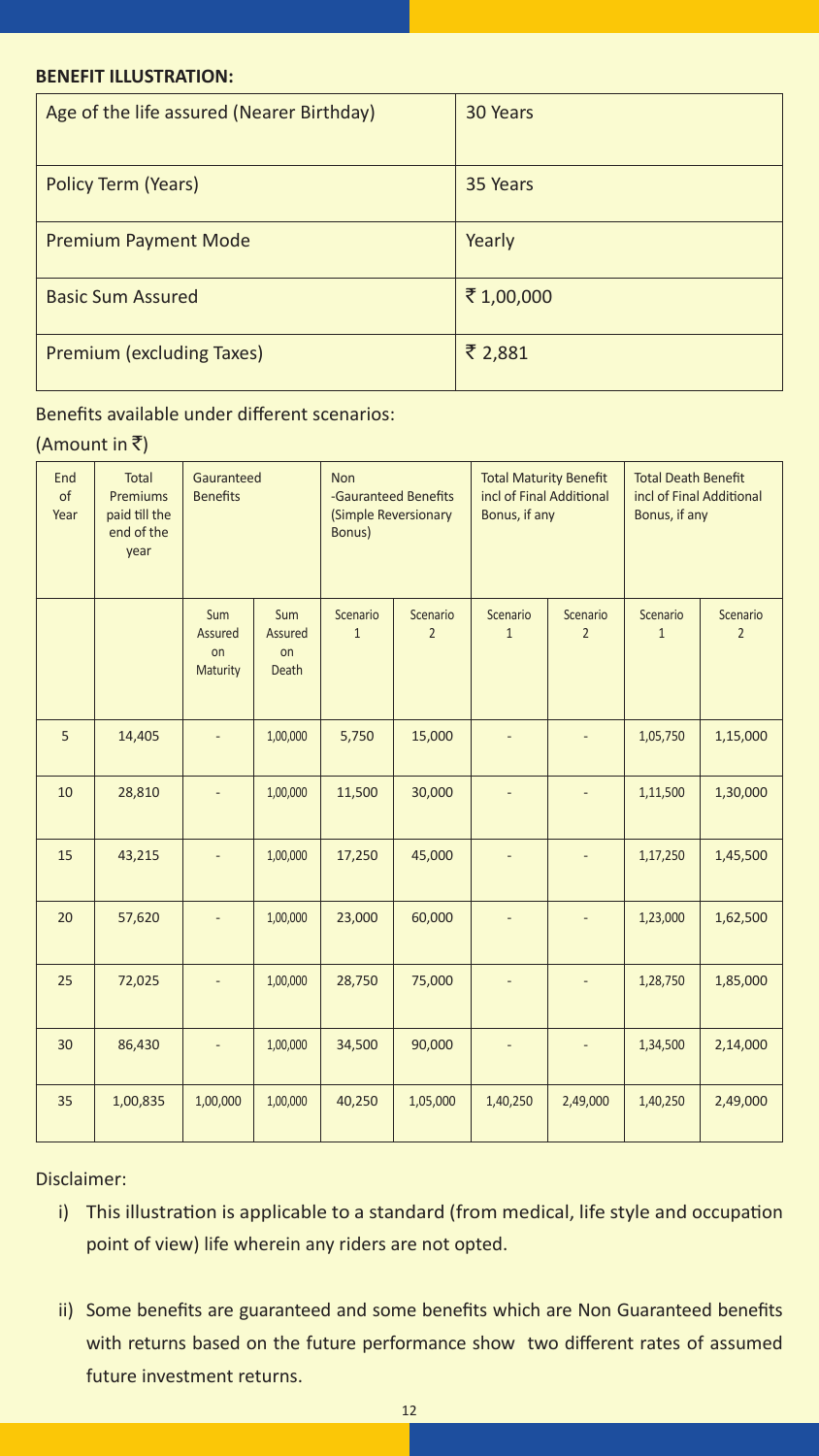#### **BENEFIT ILLUSTRATION:**

| Age of the life assured (Nearer Birthday) | 30 Years  |
|-------------------------------------------|-----------|
| Policy Term (Years)                       | 35 Years  |
| <b>Premium Payment Mode</b>               | Yearly    |
| <b>Basic Sum Assured</b>                  | ₹1,00,000 |
| Premium (excluding Taxes)                 | ₹ 2,881   |

#### Benefits available under different scenarios:

#### (Amount in  $\bar{z}$ )

| End<br>of<br>Year | Total<br>Premiums<br>paid till the<br>end of the<br>year | Gauranteed<br><b>Benefits</b>    |                                      | Non<br>-Gauranteed Benefits<br>(Simple Reversionary<br>Bonus) |                            | <b>Total Maturity Benefit</b><br>incl of Final Additional<br>Bonus, if any |                            | <b>Total Death Benefit</b><br>incl of Final Additional<br>Bonus, if any |                            |  |
|-------------------|----------------------------------------------------------|----------------------------------|--------------------------------------|---------------------------------------------------------------|----------------------------|----------------------------------------------------------------------------|----------------------------|-------------------------------------------------------------------------|----------------------------|--|
|                   |                                                          | Sum<br>Assured<br>on<br>Maturity | Sum<br>Assured<br>on<br><b>Death</b> | Scenario<br>$\mathbf{1}$                                      | Scenario<br>$\overline{2}$ | Scenario<br>$\mathbf{1}$                                                   | Scenario<br>$\overline{2}$ | Scenario<br>$\mathbf{1}$                                                | Scenario<br>$\overline{2}$ |  |
| 5                 | 14,405                                                   |                                  | 1,00,000                             | 5,750                                                         | 15,000                     |                                                                            |                            | 1,05,750                                                                | 1,15,000                   |  |
| 10                | 28,810                                                   |                                  | 1,00,000                             | 11,500                                                        | 30,000                     |                                                                            |                            | 1,11,500                                                                | 1,30,000                   |  |
| 15                | 43,215                                                   |                                  | 1,00,000                             | 17,250                                                        | 45,000                     |                                                                            |                            | 1,17,250                                                                | 1,45,500                   |  |
| 20                | 57,620                                                   |                                  | 1,00,000                             | 23,000                                                        | 60,000                     |                                                                            |                            | 1,23,000                                                                | 1,62,500                   |  |
| 25                | 72,025                                                   |                                  | 1,00,000                             | 28,750                                                        | 75,000                     |                                                                            |                            | 1,28,750                                                                | 1,85,000                   |  |
| 30                | 86,430                                                   |                                  | 1,00,000                             | 34,500                                                        | 90,000                     |                                                                            |                            | 1,34,500                                                                | 2,14,000                   |  |
| 35                | 1,00,835                                                 | 1,00,000                         | 1,00,000                             | 40,250                                                        | 1,05,000                   | 1,40,250                                                                   | 2,49,000                   | 1,40,250                                                                | 2,49,000                   |  |

#### Disclaimer:

- i) This illustration is applicable to a standard (from medical, life style and occupation point of view) life wherein any riders are not opted.
- ii) Some benefits are guaranteed and some benefits which are Non Guaranteed benefits with returns based on the future performance show two different rates of assumed future investment returns.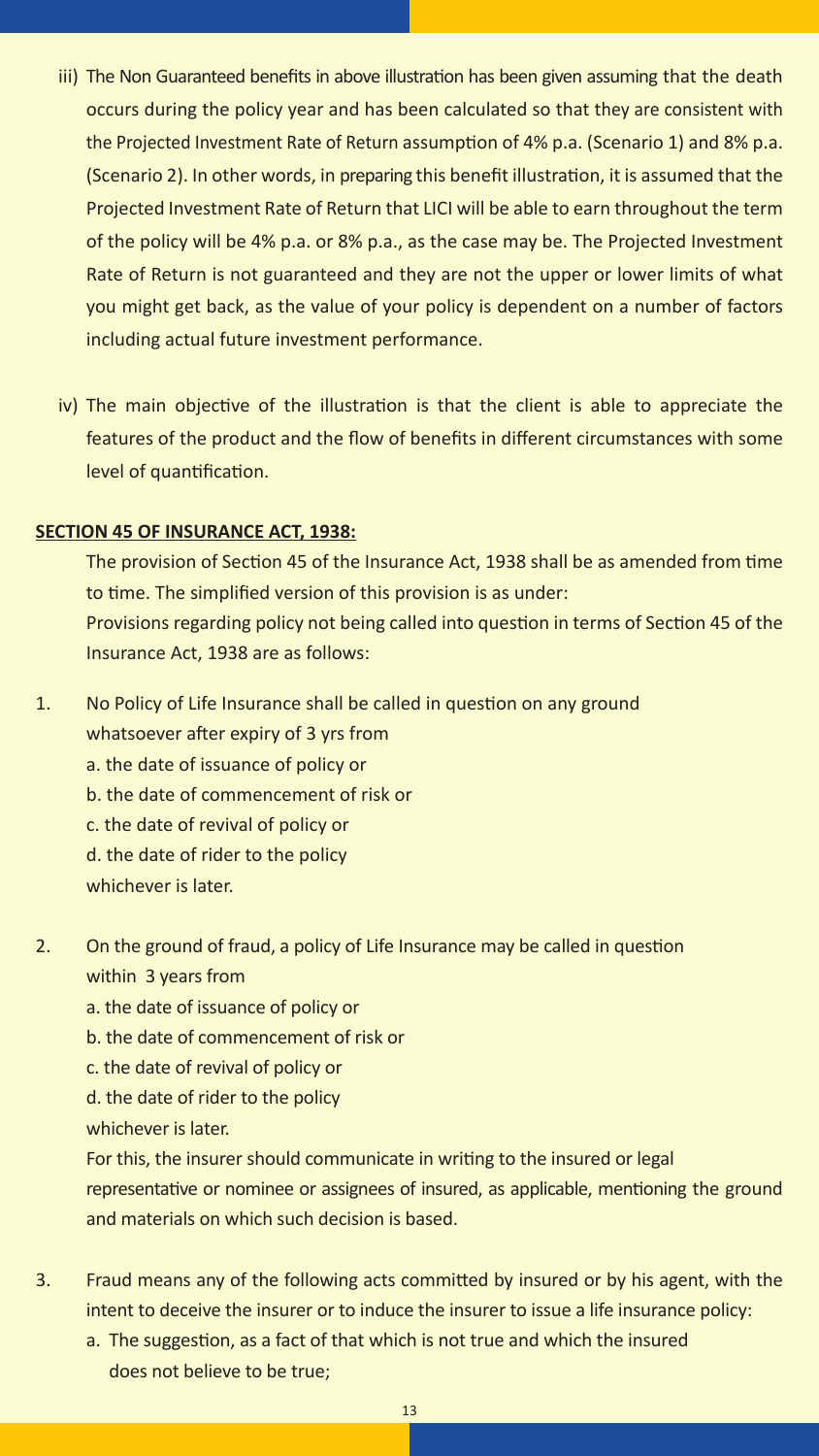- iii) The Non Guaranteed benefits in above illustration has been given assuming that the death occurs during the policy year and has been calculated so that they are consistent with the Projected Investment Rate of Return assumption of 4% p.a. (Scenario 1) and 8% p.a. (Scenario 2). In other words, in preparing this benefit illustration, it is assumed that the Projected Investment Rate of Return that LICI will be able to earn throughout the term of the policy will be 4% p.a. or 8% p.a., as the case may be. The Projected Investment Rate of Return is not guaranteed and they are not the upper or lower limits of what you might get back, as the value of your policy is dependent on a number of factors including actual future investment performance.
- iv) The main objective of the illustration is that the client is able to appreciate the features of the product and the flow of benefits in different circumstances with some level of quantification.

#### **SECTION 45 OF INSURANCE ACT, 1938:**

The provision of Section 45 of the Insurance Act, 1938 shall be as amended from time to time. The simplified version of this provision is as under: Provisions regarding policy not being called into question in terms of Section 45 of the Insurance Act, 1938 are as follows:

- 1. No Policy of Life Insurance shall be called in question on any ground whatsoever after expiry of 3 yrs from a. the date of issuance of policy or b. the date of commencement of risk or c. the date of revival of policy or d. the date of rider to the policy whichever is later.
- 2. On the ground of fraud, a policy of Life Insurance may be called in question within 3 years from
	- a. the date of issuance of policy or
	- b. the date of commencement of risk or
	- c. the date of revival of policy or
	- d. the date of rider to the policy
	- whichever is later.

For this, the insurer should communicate in writing to the insured or legal representative or nominee or assignees of insured, as applicable, mentioning the ground and materials on which such decision is based.

- 3. Fraud means any of the following acts committed by insured or by his agent, with the intent to deceive the insurer or to induce the insurer to issue a life insurance policy:
	- a. The suggestion, as a fact of that which is not true and which the insured does not believe to be true;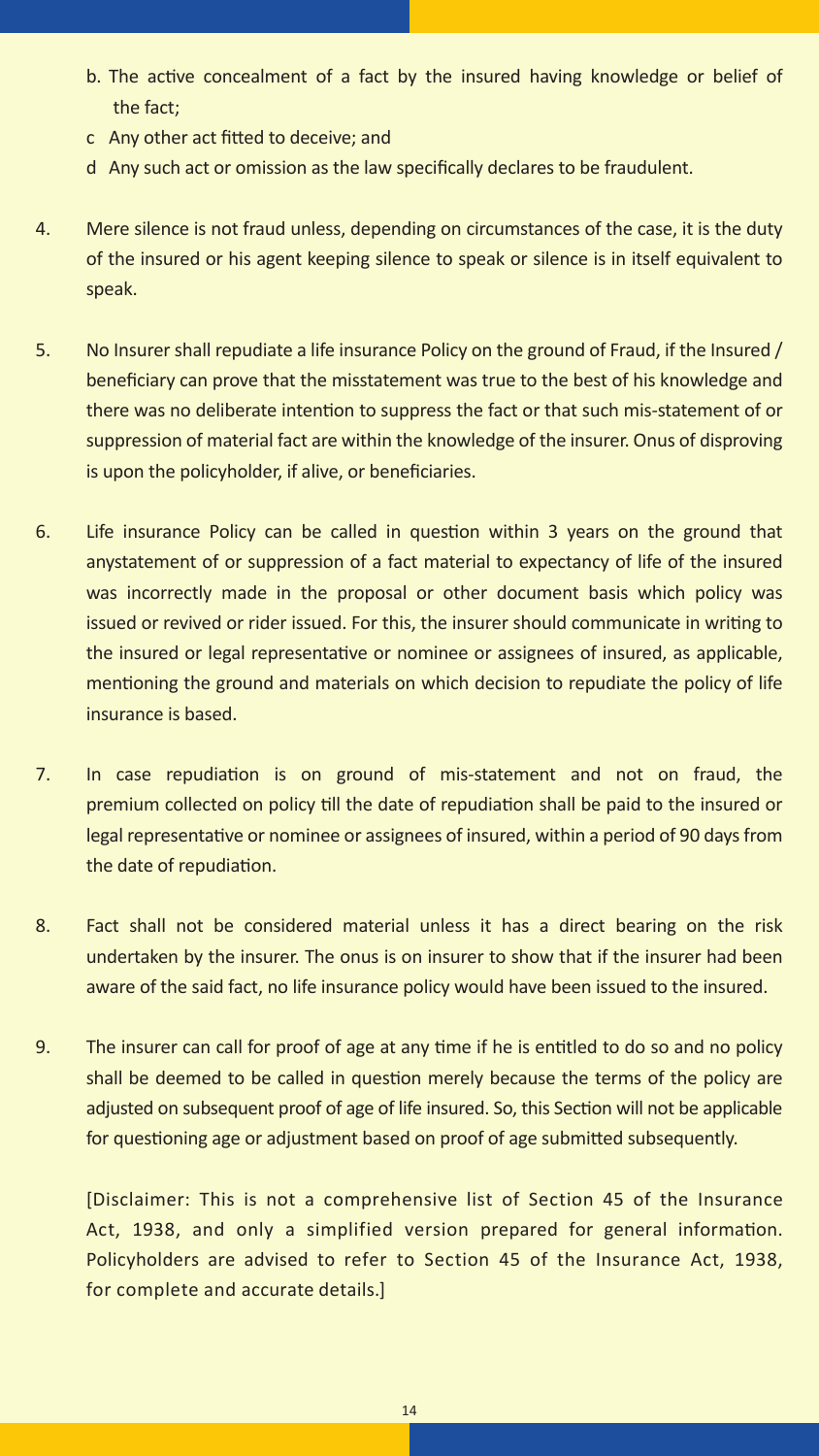- b. The active concealment of a fact by the insured having knowledge or belief of the fact;
- c Any other act fitted to deceive; and
- d Any such act or omission as the law specifically declares to be fraudulent.
- 4. Mere silence is not fraud unless, depending on circumstances of the case, it is the duty of the insured or his agent keeping silence to speak or silence is in itself equivalent to speak.
- 5. No Insurer shall repudiate a life insurance Policy on the ground of Fraud, if the Insured / beneficiary can prove that the misstatement was true to the best of his knowledge and there was no deliberate intention to suppress the fact or that such mis-statement of or suppression of material fact are within the knowledge of the insurer. Onus of disproving is upon the policyholder, if alive, or beneficiaries.
- 6. Life insurance Policy can be called in question within 3 years on the ground that anystatement of or suppression of a fact material to expectancy of life of the insured was incorrectly made in the proposal or other document basis which policy was issued or revived or rider issued. For this, the insurer should communicate in writing to the insured or legal representative or nominee or assignees of insured, as applicable, mentioning the ground and materials on which decision to repudiate the policy of life insurance is based.
- 7. In case repudiation is on ground of mis-statement and not on fraud, the premium collected on policy till the date of repudiation shall be paid to the insured or legal representative or nominee or assignees of insured, within a period of 90 days from the date of repudiation.
- 8. Fact shall not be considered material unless it has a direct bearing on the risk undertaken by the insurer. The onus is on insurer to show that if the insurer had been aware of the said fact, no life insurance policy would have been issued to the insured.
- 9. The insurer can call for proof of age at any time if he is entitled to do so and no policy shall be deemed to be called in question merely because the terms of the policy are adjusted on subsequent proof of age of life insured. So, this Section will not be applicable for questioning age or adjustment based on proof of age submitted subsequently.

[Disclaimer: This is not a comprehensive list of Section 45 of the Insurance Act, 1938, and only a simplified version prepared for general information. Policyholders are advised to refer to Section 45 of the Insurance Act, 1938, for complete and accurate details.]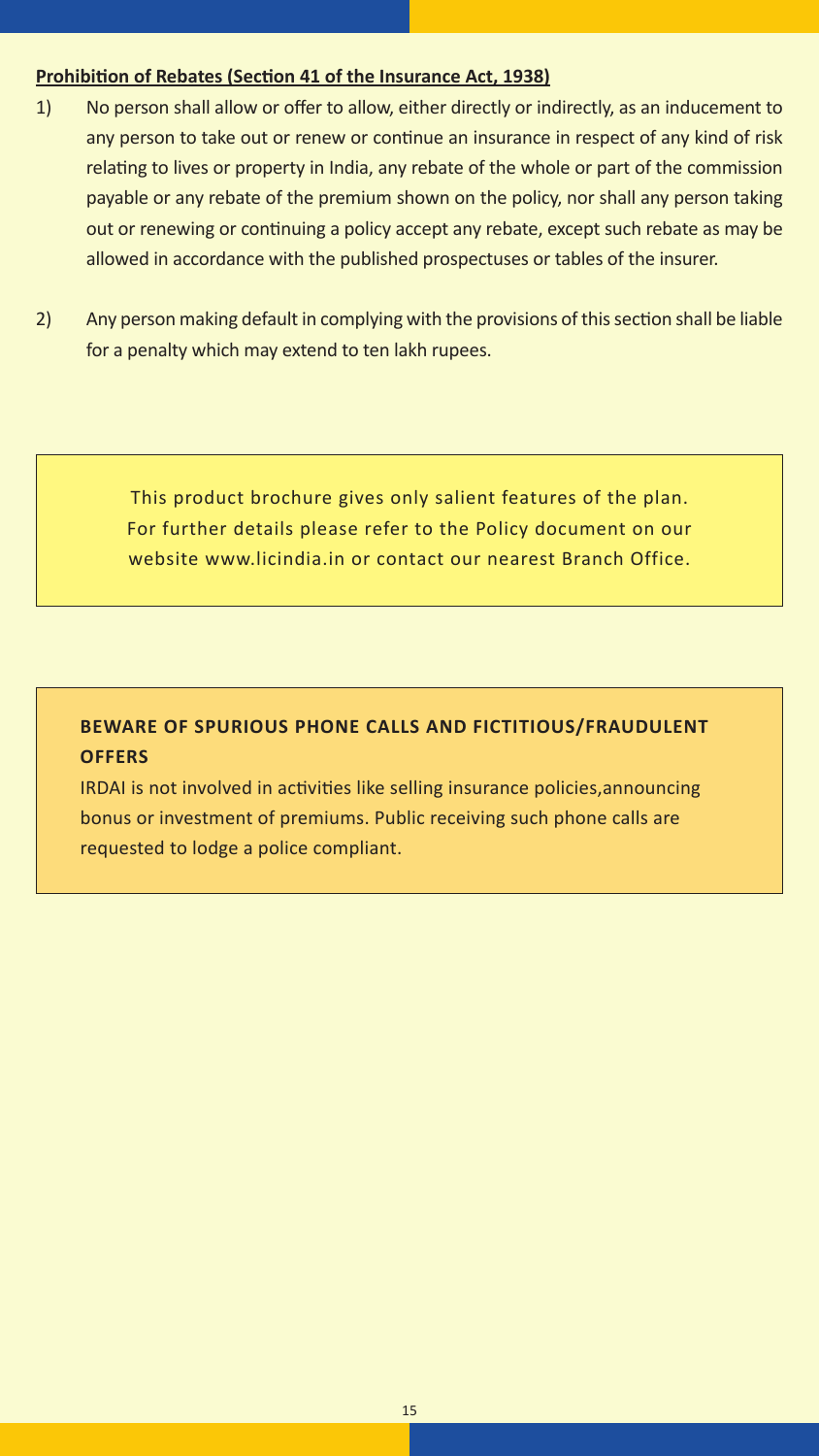#### **Prohibition of Rebates (Section 41 of the Insurance Act, 1938)**

- 1) No person shall allow or offer to allow, either directly or indirectly, as an inducement to any person to take out or renew or continue an insurance in respect of any kind of risk relating to lives or property in India, any rebate of the whole or part of the commission payable or any rebate of the premium shown on the policy, nor shall any person taking out or renewing or continuing a policy accept any rebate, except such rebate as may be allowed in accordance with the published prospectuses or tables of the insurer.
- 2) Any person making default in complying with the provisions of this section shall be liable for a penalty which may extend to ten lakh rupees.

This product brochure gives only salient features of the plan. For further details please refer to the Policy document on our website www.licindia.in or contact our nearest Branch Office.

#### **BEWARE OF SPURIOUS PHONE CALLS AND FICTITIOUS/FRAUDULENT OFFERS**

IRDAI is not involved in activities like selling insurance policies,announcing bonus or investment of premiums. Public receiving such phone calls are requested to lodge a police compliant.